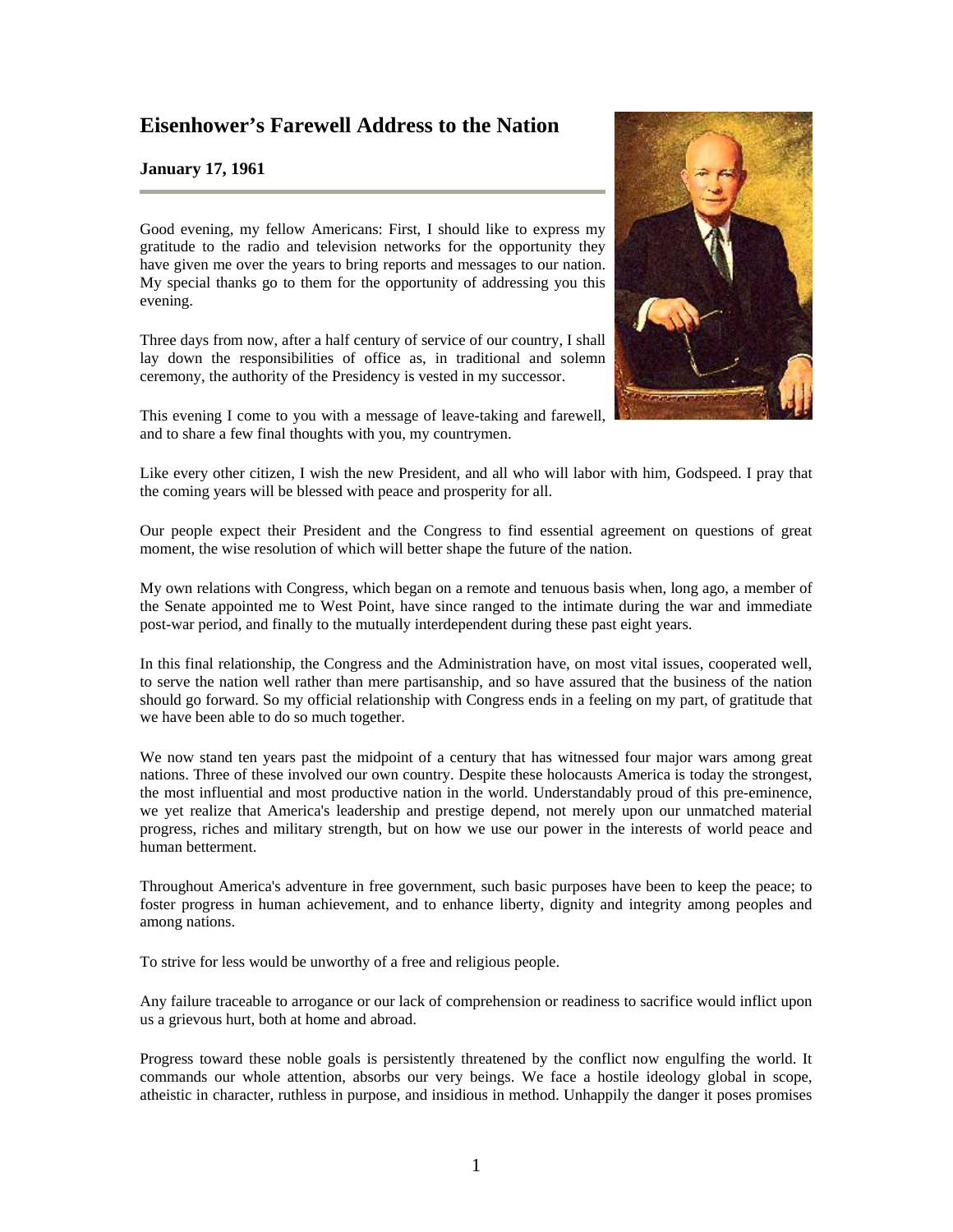## **Eisenhower's Farewell Address to the Nation**

## **January 17, 1961**

Good evening, my fellow Americans: First, I should like to express my gratitude to the radio and television networks for the opportunity they have given me over the years to bring reports and messages to our nation. My special thanks go to them for the opportunity of addressing you this evening.

Three days from now, after a half century of service of our country, I shall lay down the responsibilities of office as, in traditional and solemn ceremony, the authority of the Presidency is vested in my successor.



This evening I come to you with a message of leave-taking and farewell, and to share a few final thoughts with you, my countrymen.

Like every other citizen, I wish the new President, and all who will labor with him, Godspeed. I pray that the coming years will be blessed with peace and prosperity for all.

Our people expect their President and the Congress to find essential agreement on questions of great moment, the wise resolution of which will better shape the future of the nation.

My own relations with Congress, which began on a remote and tenuous basis when, long ago, a member of the Senate appointed me to West Point, have since ranged to the intimate during the war and immediate post-war period, and finally to the mutually interdependent during these past eight years.

In this final relationship, the Congress and the Administration have, on most vital issues, cooperated well, to serve the nation well rather than mere partisanship, and so have assured that the business of the nation should go forward. So my official relationship with Congress ends in a feeling on my part, of gratitude that we have been able to do so much together.

We now stand ten years past the midpoint of a century that has witnessed four major wars among great nations. Three of these involved our own country. Despite these holocausts America is today the strongest, the most influential and most productive nation in the world. Understandably proud of this pre-eminence, we yet realize that America's leadership and prestige depend, not merely upon our unmatched material progress, riches and military strength, but on how we use our power in the interests of world peace and human betterment.

Throughout America's adventure in free government, such basic purposes have been to keep the peace; to foster progress in human achievement, and to enhance liberty, dignity and integrity among peoples and among nations.

To strive for less would be unworthy of a free and religious people.

Any failure traceable to arrogance or our lack of comprehension or readiness to sacrifice would inflict upon us a grievous hurt, both at home and abroad.

Progress toward these noble goals is persistently threatened by the conflict now engulfing the world. It commands our whole attention, absorbs our very beings. We face a hostile ideology global in scope, atheistic in character, ruthless in purpose, and insidious in method. Unhappily the danger it poses promises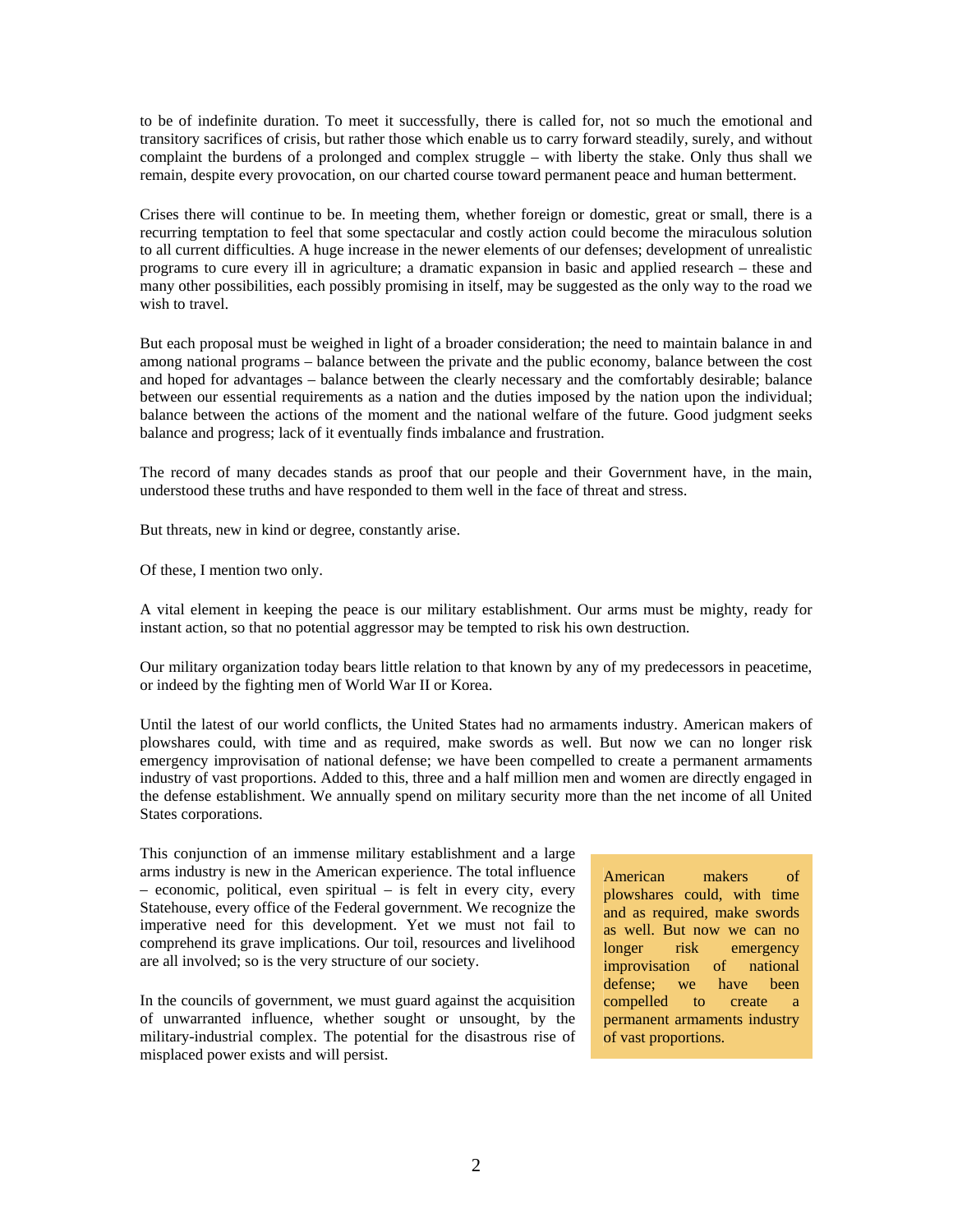to be of indefinite duration. To meet it successfully, there is called for, not so much the emotional and transitory sacrifices of crisis, but rather those which enable us to carry forward steadily, surely, and without complaint the burdens of a prolonged and complex struggle – with liberty the stake. Only thus shall we remain, despite every provocation, on our charted course toward permanent peace and human betterment.

Crises there will continue to be. In meeting them, whether foreign or domestic, great or small, there is a recurring temptation to feel that some spectacular and costly action could become the miraculous solution to all current difficulties. A huge increase in the newer elements of our defenses; development of unrealistic programs to cure every ill in agriculture; a dramatic expansion in basic and applied research – these and many other possibilities, each possibly promising in itself, may be suggested as the only way to the road we wish to travel.

But each proposal must be weighed in light of a broader consideration; the need to maintain balance in and among national programs – balance between the private and the public economy, balance between the cost and hoped for advantages – balance between the clearly necessary and the comfortably desirable; balance between our essential requirements as a nation and the duties imposed by the nation upon the individual; balance between the actions of the moment and the national welfare of the future. Good judgment seeks balance and progress; lack of it eventually finds imbalance and frustration.

The record of many decades stands as proof that our people and their Government have, in the main, understood these truths and have responded to them well in the face of threat and stress.

But threats, new in kind or degree, constantly arise.

Of these, I mention two only.

A vital element in keeping the peace is our military establishment. Our arms must be mighty, ready for instant action, so that no potential aggressor may be tempted to risk his own destruction.

Our military organization today bears little relation to that known by any of my predecessors in peacetime, or indeed by the fighting men of World War II or Korea.

Until the latest of our world conflicts, the United States had no armaments industry. American makers of plowshares could, with time and as required, make swords as well. But now we can no longer risk emergency improvisation of national defense; we have been compelled to create a permanent armaments industry of vast proportions. Added to this, three and a half million men and women are directly engaged in the defense establishment. We annually spend on military security more than the net income of all United States corporations.

This conjunction of an immense military establishment and a large arms industry is new in the American experience. The total influence – economic, political, even spiritual – is felt in every city, every Statehouse, every office of the Federal government. We recognize the imperative need for this development. Yet we must not fail to comprehend its grave implications. Our toil, resources and livelihood are all involved; so is the very structure of our society.

In the councils of government, we must guard against the acquisition of unwarranted influence, whether sought or unsought, by the military-industrial complex. The potential for the disastrous rise of misplaced power exists and will persist.

American makers of plowshares could, with time and as required, make swords as well. But now we can no longer risk emergency improvisation of national defense; we have been compelled to create a permanent armaments industry of vast proportions.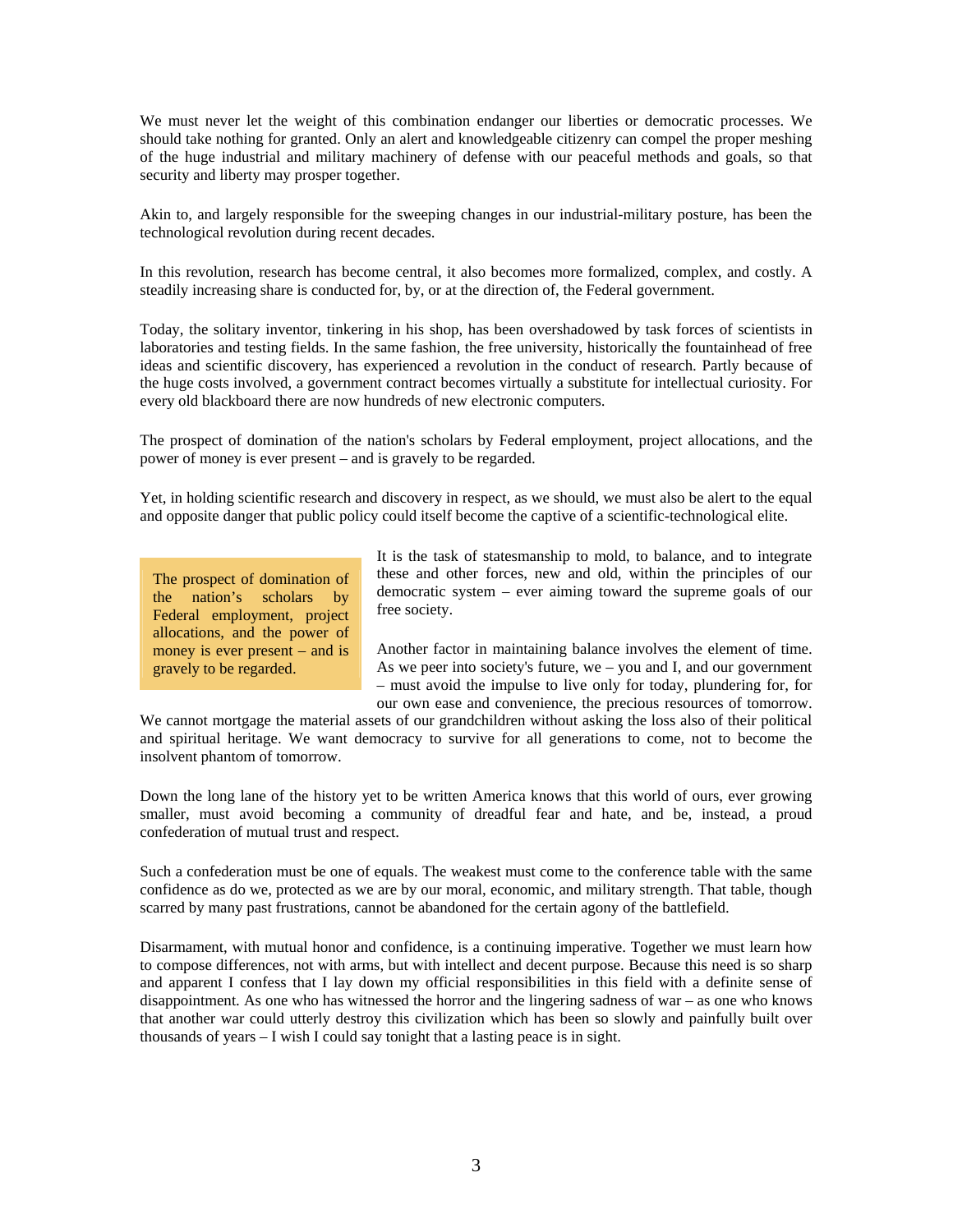We must never let the weight of this combination endanger our liberties or democratic processes. We should take nothing for granted. Only an alert and knowledgeable citizenry can compel the proper meshing of the huge industrial and military machinery of defense with our peaceful methods and goals, so that security and liberty may prosper together.

Akin to, and largely responsible for the sweeping changes in our industrial-military posture, has been the technological revolution during recent decades.

In this revolution, research has become central, it also becomes more formalized, complex, and costly. A steadily increasing share is conducted for, by, or at the direction of, the Federal government.

Today, the solitary inventor, tinkering in his shop, has been overshadowed by task forces of scientists in laboratories and testing fields. In the same fashion, the free university, historically the fountainhead of free ideas and scientific discovery, has experienced a revolution in the conduct of research. Partly because of the huge costs involved, a government contract becomes virtually a substitute for intellectual curiosity. For every old blackboard there are now hundreds of new electronic computers.

The prospect of domination of the nation's scholars by Federal employment, project allocations, and the power of money is ever present – and is gravely to be regarded.

Yet, in holding scientific research and discovery in respect, as we should, we must also be alert to the equal and opposite danger that public policy could itself become the captive of a scientific-technological elite.

The prospect of domination of the nation's scholars by Federal employment, project allocations, and the power of money is ever present – and is gravely to be regarded.

It is the task of statesmanship to mold, to balance, and to integrate these and other forces, new and old, within the principles of our democratic system – ever aiming toward the supreme goals of our free society.

Another factor in maintaining balance involves the element of time. As we peer into society's future, we  $-$  you and I, and our government – must avoid the impulse to live only for today, plundering for, for our own ease and convenience, the precious resources of tomorrow.

We cannot mortgage the material assets of our grandchildren without asking the loss also of their political and spiritual heritage. We want democracy to survive for all generations to come, not to become the insolvent phantom of tomorrow.

Down the long lane of the history yet to be written America knows that this world of ours, ever growing smaller, must avoid becoming a community of dreadful fear and hate, and be, instead, a proud confederation of mutual trust and respect.

Such a confederation must be one of equals. The weakest must come to the conference table with the same confidence as do we, protected as we are by our moral, economic, and military strength. That table, though scarred by many past frustrations, cannot be abandoned for the certain agony of the battlefield.

Disarmament, with mutual honor and confidence, is a continuing imperative. Together we must learn how to compose differences, not with arms, but with intellect and decent purpose. Because this need is so sharp and apparent I confess that I lay down my official responsibilities in this field with a definite sense of disappointment. As one who has witnessed the horror and the lingering sadness of war – as one who knows that another war could utterly destroy this civilization which has been so slowly and painfully built over thousands of years – I wish I could say tonight that a lasting peace is in sight.